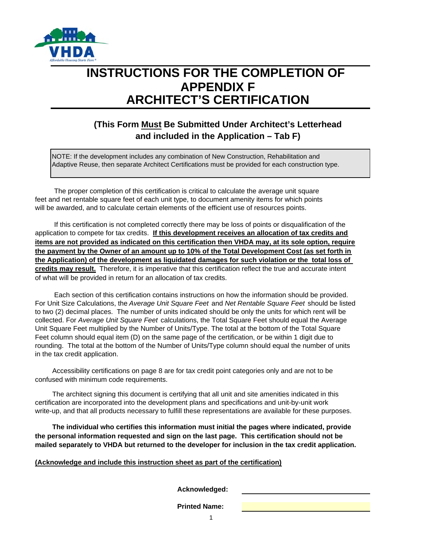

# **INSTRUCTIONS FOR THE COMPLETION OF APPENDIX F ARCHITECT'S CERTIFICATION**

## **(This Form Must Be Submitted Under Architect's Letterhead and included in the Application – Tab F)**

NOTE: If the development includes any combination of New Construction, Rehabilitation and Adaptive Reuse, then separate Architect Certifications must be provided for each construction type.

 The proper completion of this certification is critical to calculate the average unit square feet and net rentable square feet of each unit type, to document amenity items for which points will be awarded, and to calculate certain elements of the efficient use of resources points.

 If this certification is not completed correctly there may be loss of points or disqualification of the application to compete for tax credits. **If this development receives an allocation of tax credits and items are not provided as indicated on this certification then VHDA may, at its sole option, require the payment by the Owner of an amount up to 10% of the Total Development Cost (as set forth in the Application) of the development as liquidated damages for such violation or the total loss of credits may result.** Therefore, it is imperative that this certification reflect the true and accurate intent of what will be provided in return for an allocation of tax credits.

 Each section of this certification contains instructions on how the information should be provided. For Unit Size Calculations, the *Average Unit Square Feet* and *Net Rentable Square Feet* should be listed to two (2) decimal places. The number of units indicated should be only the units for which rent will be collected. For *Average Unit Square Feet* calculations, the Total Square Feet should equal the Average Unit Square Feet multiplied by the Number of Units/Type. The total at the bottom of the Total Square Feet column should equal item (D) on the same page of the certification, or be within 1 digit due to rounding. The total at the bottom of the Number of Units/Type column should equal the number of units in the tax credit application.

 Accessibility certifications on page 8 are for tax credit point categories only and are not to be confused with minimum code requirements.

 The architect signing this document is certifying that all unit and site amenities indicated in this certification are incorporated into the development plans and specifications and unit-by-unit work write-up, and that all products necessary to fulfill these representations are available for these purposes.

 **The individual who certifies this information must initial the pages where indicated, provide the personal information requested and sign on the last page. This certification should not be mailed separately to VHDA but returned to the developer for inclusion in the tax credit application.**

**(Acknowledge and include this instruction sheet as part of the certification)**

**Acknowledged:** 

**Printed Name:** 

1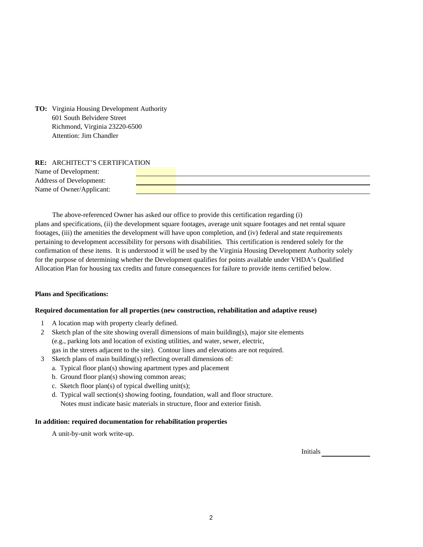**TO:** Virginia Housing Development Authority 601 South Belvidere Street Richmond, Virginia 23220-6500 Attention: Jim Chandler

## **RE:** ARCHITECT'S CERTIFICATION

Name of Development: Address of Development: Name of Owner/Applicant:

 The above-referenced Owner has asked our office to provide this certification regarding (i) plans and specifications, (ii) the development square footages, average unit square footages and net rental square footages, (iii) the amenities the development will have upon completion, and (iv) federal and state requirements pertaining to development accessibility for persons with disabilities. This certification is rendered solely for the confirmation of these items. It is understood it will be used by the Virginia Housing Development Authority solely for the purpose of determining whether the Development qualifies for points available under VHDA's Qualified Allocation Plan for housing tax credits and future consequences for failure to provide items certified below.

## **Plans and Specifications:**

## **Required documentation for all properties (new construction, rehabilitation and adaptive reuse)**

- 1 A location map with property clearly defined.
- 2 Sketch plan of the site showing overall dimensions of main building(s), major site elements (e.g., parking lots and location of existing utilities, and water, sewer, electric, gas in the streets adjacent to the site). Contour lines and elevations are not required.
- 3 Sketch plans of main building(s) reflecting overall dimensions of:
	- a. Typical floor plan(s) showing apartment types and placement
	- b. Ground floor plan(s) showing common areas;
	- c. Sketch floor plan(s) of typical dwelling unit(s);
	- d. Typical wall section(s) showing footing, foundation, wall and floor structure. Notes must indicate basic materials in structure, floor and exterior finish.

## **In addition: required documentation for rehabilitation properties**

A unit-by-unit work write-up.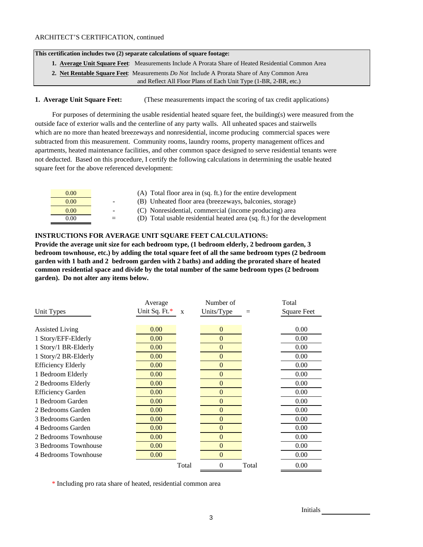#### **This certification includes two (2) separate calculations of square footage:**

- **1. Average Unit Square Feet**: Measurements Include A Prorata Share of Heated Residential Common Area
- **2. Net Rentable Square Feet**: Measurements *Do Not* Include A Prorata Share of Any Common Area and Reflect All Floor Plans of Each Unit Type (1-BR, 2-BR, etc.)

### **1. Average Unit Square Feet:** (These measurements impact the scoring of tax credit applications)

 For purposes of determining the usable residential heated square feet, the building(s) were measured from the outside face of exterior walls and the centerline of any party walls. All unheated spaces and stairwells which are no more than heated breezeways and nonresidential, income producing commercial spaces were subtracted from this measurement. Community rooms, laundry rooms, property management offices and apartments, heated maintenance facilities, and other common space designed to serve residential tenants were not deducted. Based on this procedure, I certify the following calculations in determining the usable heated square feet for the above referenced development:

| 0.00 |                          | (A) Total floor area in (sq. ft.) for the entire development           |
|------|--------------------------|------------------------------------------------------------------------|
| 0.00 | $\overline{\phantom{a}}$ | (B) Unheated floor area (breezeways, balconies, storage)               |
| 0.00 | $\sim$                   | (C) Nonresidential, commercial (income producing) area                 |
| 0.00 | $=$                      | (D) Total usable residential heated area (sq. ft.) for the development |

## **INSTRUCTIONS FOR AVERAGE UNIT SQUARE FEET CALCULATIONS:**

**Provide the average unit size for each bedroom type, (1 bedroom elderly, 2 bedroom garden, 3 bedroom townhouse, etc.) by adding the total square feet of all the same bedroom types (2 bedroom garden with 1 bath and 2 bedroom garden with 2 baths) and adding the prorated share of heated common residential space and divide by the total number of the same bedroom types (2 bedroom garden). Do not alter any items below.**

|                           | Average       |              | Number of        |       | Total              |
|---------------------------|---------------|--------------|------------------|-------|--------------------|
| Unit Types                | Unit Sq. Ft.* | $\mathbf{X}$ | Units/Type       |       | <b>Square Feet</b> |
|                           |               |              |                  |       |                    |
| <b>Assisted Living</b>    | 0.00          |              | $\mathbf{0}$     |       | 0.00               |
| 1 Story/EFF-Elderly       | 0.00          |              | $\Omega$         |       | 0.00               |
| 1 Story/1 BR-Elderly      | 0.00          |              | $\theta$         |       | 0.00               |
| 1 Story/2 BR-Elderly      | 0.00          |              | $\theta$         |       | 0.00               |
| <b>Efficiency Elderly</b> | 0.00          |              | $\theta$         |       | 0.00               |
| 1 Bedroom Elderly         | 0.00          |              | $\Omega$         |       | 0.00               |
| 2 Bedrooms Elderly        | 0.00          |              | $\mathbf{0}$     |       | 0.00               |
| <b>Efficiency Garden</b>  | 0.00          |              | $\mathbf{0}$     |       | 0.00               |
| 1 Bedroom Garden          | 0.00          |              | $\mathbf{0}$     |       | 0.00               |
| 2 Bedrooms Garden         | 0.00          |              | $\Omega$         |       | 0.00               |
| 3 Bedrooms Garden         | 0.00          |              | $\theta$         |       | 0.00               |
| 4 Bedrooms Garden         | 0.00          |              | $\theta$         |       | 0.00               |
| 2 Bedrooms Townhouse      | 0.00          |              | $\theta$         |       | 0.00               |
| 3 Bedrooms Townhouse      | 0.00          |              | $\mathbf{0}$     |       | 0.00               |
| 4 Bedrooms Townhouse      | 0.00          |              | $\boldsymbol{0}$ |       | 0.00               |
|                           |               | Total        | $\overline{0}$   | Total | 0.00               |

\* Including pro rata share of heated, residential common area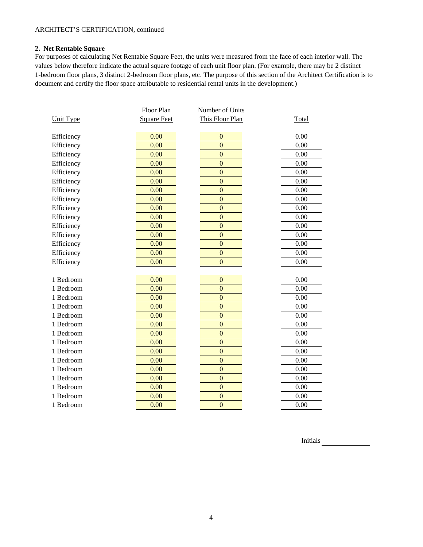#### **2. Net Rentable Square**

For purposes of calculating Net Rentable Square Feet, the units were measured from the face of each interior wall. The values below therefore indicate the actual square footage of each unit floor plan. (For example, there may be 2 distinct 1-bedroom floor plans, 3 distinct 2-bedroom floor plans, etc. The purpose of this section of the Architect Certification is to document and certify the floor space attributable to residential rental units in the development.)

|            | Floor Plan         | Number of Units  |       |
|------------|--------------------|------------------|-------|
| Unit Type  | <b>Square Feet</b> | This Floor Plan  | Total |
|            |                    |                  |       |
| Efficiency | 0.00               | $\boldsymbol{0}$ | 0.00  |
| Efficiency | 0.00               | $\overline{0}$   | 0.00  |
| Efficiency | 0.00               | $\overline{0}$   | 0.00  |
| Efficiency | 0.00               | $\mathbf{0}$     | 0.00  |
| Efficiency | 0.00               | $\mathbf{0}$     | 0.00  |
| Efficiency | 0.00               | $\overline{0}$   | 0.00  |
| Efficiency | 0.00               | $\overline{0}$   | 0.00  |
| Efficiency | 0.00               | $\mathbf{0}$     | 0.00  |
| Efficiency | 0.00               | $\mathbf{0}$     | 0.00  |
| Efficiency | 0.00               | $\overline{0}$   | 0.00  |
| Efficiency | 0.00               | $\overline{0}$   | 0.00  |
| Efficiency | 0.00               | $\overline{0}$   | 0.00  |
| Efficiency | 0.00               | $\overline{0}$   | 0.00  |
| Efficiency | 0.00               | $\mathbf{0}$     | 0.00  |
| Efficiency | 0.00               | $\overline{0}$   | 0.00  |
|            |                    |                  |       |
| 1 Bedroom  | 0.00               | $\boldsymbol{0}$ | 0.00  |
| 1 Bedroom  | 0.00               | $\overline{0}$   | 0.00  |
| 1 Bedroom  | 0.00               | $\mathbf{0}$     | 0.00  |
| 1 Bedroom  | 0.00               | $\overline{0}$   | 0.00  |
| 1 Bedroom  | 0.00               | $\mathbf{0}$     | 0.00  |
| 1 Bedroom  | 0.00               | $\overline{0}$   | 0.00  |
| 1 Bedroom  | 0.00               | $\overline{0}$   | 0.00  |
| 1 Bedroom  | 0.00               | $\mathbf{0}$     | 0.00  |
| 1 Bedroom  | 0.00               | $\mathbf{0}$     | 0.00  |
| 1 Bedroom  | 0.00               | $\mathbf{0}$     | 0.00  |
| 1 Bedroom  | 0.00               | $\overline{0}$   | 0.00  |
| 1 Bedroom  | 0.00               | $\overline{0}$   | 0.00  |
| 1 Bedroom  | 0.00               | $\mathbf{0}$     | 0.00  |
| 1 Bedroom  | 0.00               | $\mathbf{0}$     | 0.00  |
| 1 Bedroom  | 0.00               | $\mathbf{0}$     | 0.00  |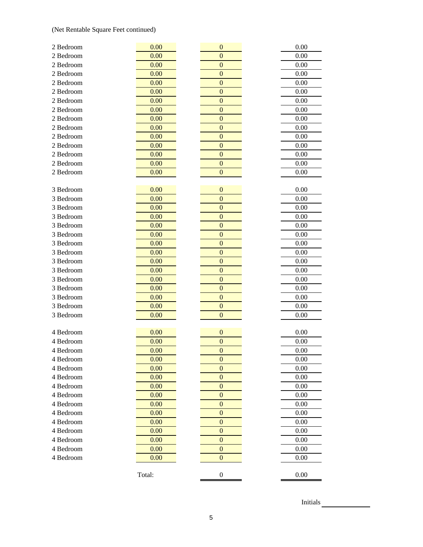## (Net Rentable Square Feet continued)

| 2 Bedroom | 0.00   | $\boldsymbol{0}$ | 0.00 |
|-----------|--------|------------------|------|
| 2 Bedroom | 0.00   | $\overline{0}$   | 0.00 |
| 2 Bedroom | 0.00   | $\mathbf{0}$     | 0.00 |
| 2 Bedroom | 0.00   | $\mathbf{0}$     | 0.00 |
| 2 Bedroom | 0.00   | $\mathbf{0}$     | 0.00 |
| 2 Bedroom | 0.00   | $\mathbf{0}$     | 0.00 |
| 2 Bedroom | 0.00   | $\mathbf{0}$     | 0.00 |
| 2 Bedroom | 0.00   | $\mathbf{0}$     | 0.00 |
| 2 Bedroom | 0.00   | $\mathbf{0}$     | 0.00 |
| 2 Bedroom | 0.00   | $\mathbf{0}$     | 0.00 |
| 2 Bedroom | 0.00   | $\mathbf{0}$     | 0.00 |
| 2 Bedroom | 0.00   | $\boldsymbol{0}$ | 0.00 |
| 2 Bedroom | 0.00   | $\overline{0}$   | 0.00 |
| 2 Bedroom | 0.00   | $\mathbf{0}$     | 0.00 |
| 2 Bedroom | 0.00   | $\mathbf{0}$     | 0.00 |
|           |        |                  |      |
| 3 Bedroom | 0.00   | $\boldsymbol{0}$ | 0.00 |
| 3 Bedroom | 0.00   | $\mathbf{0}$     | 0.00 |
| 3 Bedroom | 0.00   | $\boldsymbol{0}$ | 0.00 |
| 3 Bedroom | 0.00   | $\overline{0}$   | 0.00 |
| 3 Bedroom | 0.00   | $\overline{0}$   | 0.00 |
| 3 Bedroom | 0.00   | $\mathbf{0}$     | 0.00 |
| 3 Bedroom | 0.00   | $\mathbf{0}$     | 0.00 |
| 3 Bedroom | 0.00   | $\mathbf{0}$     | 0.00 |
| 3 Bedroom | 0.00   | $\mathbf{0}$     | 0.00 |
| 3 Bedroom | 0.00   | $\mathbf{0}$     | 0.00 |
| 3 Bedroom | 0.00   | $\mathbf{0}$     | 0.00 |
| 3 Bedroom | 0.00   | $\mathbf{0}$     | 0.00 |
| 3 Bedroom | 0.00   | $\mathbf{0}$     | 0.00 |
| 3 Bedroom | 0.00   | $\boldsymbol{0}$ | 0.00 |
| 3 Bedroom | 0.00   | $\mathbf{0}$     | 0.00 |
|           |        |                  |      |
| 4 Bedroom | 0.00   | $\boldsymbol{0}$ | 0.00 |
| 4 Bedroom | 0.00   | $\mathbf{0}$     | 0.00 |
| 4 Bedroom | 0.00   | $\overline{0}$   | 0.00 |
| 4 Bedroom | 0.00   | $\boldsymbol{0}$ | 0.00 |
| 4 Bedroom | 0.00   | $\boldsymbol{0}$ | 0.00 |
| 4 Bedroom | 0.00   | $\mathbf{0}$     | 0.00 |
| 4 Bedroom | 0.00   | $\boldsymbol{0}$ | 0.00 |
| 4 Bedroom | 0.00   | $\boldsymbol{0}$ | 0.00 |
| 4 Bedroom | 0.00   | $\boldsymbol{0}$ | 0.00 |
| 4 Bedroom | 0.00   | $\mathbf{0}$     | 0.00 |
| 4 Bedroom | 0.00   | $\mathbf{0}$     | 0.00 |
| 4 Bedroom | 0.00   | $\mathbf{0}$     | 0.00 |
| 4 Bedroom | 0.00   | $\mathbf{0}$     | 0.00 |
| 4 Bedroom | 0.00   | $\boldsymbol{0}$ | 0.00 |
| 4 Bedroom | 0.00   | $\overline{0}$   | 0.00 |
|           | Total: | $\boldsymbol{0}$ | 0.00 |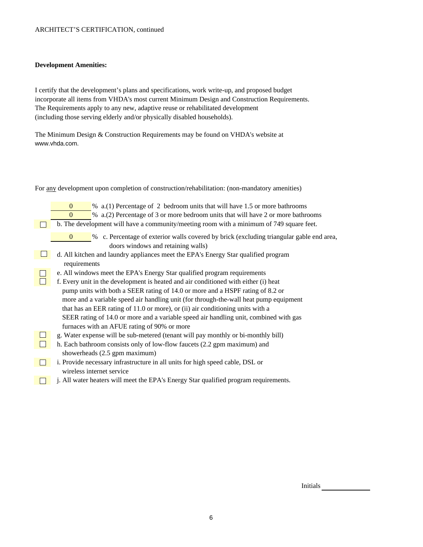## **Development Amenities:**

I certify that the development's plans and specifications, work write-up, and proposed budget incorporate all items from VHDA's most current Minimum Design and Construction Requirements. The Requirements apply to any new, adaptive reuse or rehabilitated development (including those serving elderly and/or physically disabled households).

The Minimum Design & Construction Requirements may be found on VHDA's website at www.vhda.com.

|                                                                                       | For any development upon completion of construction/rehabilitation: (non-mandatory amenities)            |  |  |  |  |
|---------------------------------------------------------------------------------------|----------------------------------------------------------------------------------------------------------|--|--|--|--|
|                                                                                       | $\overline{0}$<br>% a.(1) Percentage of 2 bedroom units that will have 1.5 or more bathrooms             |  |  |  |  |
|                                                                                       | % a.(2) Percentage of 3 or more bedroom units that will have 2 or more bathrooms<br>$\Omega$             |  |  |  |  |
|                                                                                       | b. The development will have a community/meeting room with a minimum of 749 square feet.                 |  |  |  |  |
|                                                                                       | % c. Percentage of exterior walls covered by brick (excluding triangular gable end area,<br>$\mathbf{0}$ |  |  |  |  |
|                                                                                       | doors windows and retaining walls)                                                                       |  |  |  |  |
|                                                                                       | d. All kitchen and laundry appliances meet the EPA's Energy Star qualified program                       |  |  |  |  |
|                                                                                       | requirements                                                                                             |  |  |  |  |
|                                                                                       | e. All windows meet the EPA's Energy Star qualified program requirements                                 |  |  |  |  |
|                                                                                       | f. Every unit in the development is heated and air conditioned with either (i) heat                      |  |  |  |  |
|                                                                                       | pump units with both a SEER rating of 14.0 or more and a HSPF rating of 8.2 or                           |  |  |  |  |
| more and a variable speed air handling unit (for through-the-wall heat pump equipment |                                                                                                          |  |  |  |  |
| that has an EER rating of 11.0 or more), or (ii) air conditioning units with a        |                                                                                                          |  |  |  |  |
|                                                                                       | SEER rating of 14.0 or more and a variable speed air handling unit, combined with gas                    |  |  |  |  |
|                                                                                       | furnaces with an AFUE rating of 90% or more                                                              |  |  |  |  |
|                                                                                       | g. Water expense will be sub-metered (tenant will pay monthly or bi-monthly bill)                        |  |  |  |  |
|                                                                                       | h. Each bathroom consists only of low-flow faucets (2.2 gpm maximum) and                                 |  |  |  |  |
|                                                                                       | showerheads (2.5 gpm maximum)                                                                            |  |  |  |  |
|                                                                                       | i. Provide necessary infrastructure in all units for high speed cable, DSL or                            |  |  |  |  |
|                                                                                       | wireless internet service                                                                                |  |  |  |  |
|                                                                                       | j. All water heaters will meet the EPA's Energy Star qualified program requirements.                     |  |  |  |  |
|                                                                                       |                                                                                                          |  |  |  |  |
|                                                                                       |                                                                                                          |  |  |  |  |
|                                                                                       |                                                                                                          |  |  |  |  |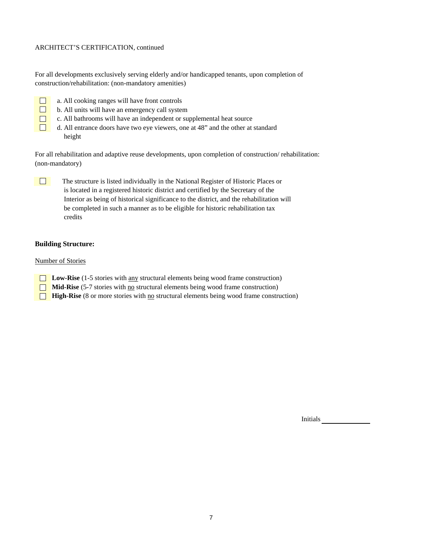## ARCHITECT'S CERTIFICATION, continued

For all developments exclusively serving elderly and/or handicapped tenants, upon completion of construction/rehabilitation: (non-mandatory amenities)

- a. All cooking ranges will have front controls
- b. All units will have an emergency call system
- c. All bathrooms will have an independent or supplemental heat source
- d. All entrance doors have two eye viewers, one at 48" and the other at standard height

For all rehabilitation and adaptive reuse developments, upon completion of construction/ rehabilitation: (non-mandatory)

| The structure is listed individually in the National Register of Historic Places or       |
|-------------------------------------------------------------------------------------------|
| is located in a registered historic district and certified by the Secretary of the        |
| Interior as being of historical significance to the district, and the rehabilitation will |
| be completed in such a manner as to be eligible for historic rehabilitation tax           |
| credits                                                                                   |

## **Building Structure:**

## Number of Stories

- **Low-Rise** (1-5 stories with any structural elements being wood frame construction)
- **Mid-Rise** (5-7 stories with <u>no</u> structural elements being wood frame construction)
- **High-Rise** (8 or more stories with <u>no</u> structural elements being wood frame construction)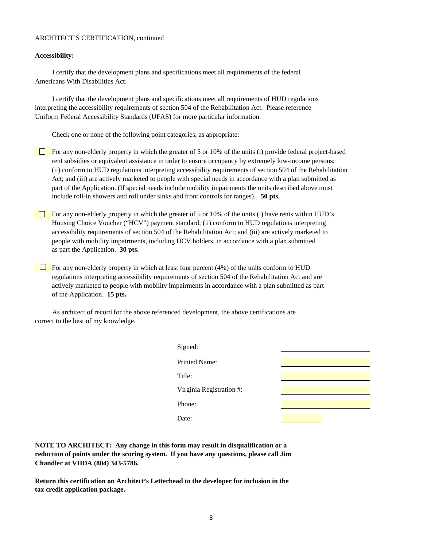### ARCHITECT'S CERTIFICATION, continued

### **Accessibility:**

 I certify that the development plans and specifications meet all requirements of the federal Americans With Disabilities Act.

 I certify that the development plans and specifications meet all requirements of HUD regulations interpreting the accessibility requirements of section 504 of the Rehabilitation Act. Please reference Uniform Federal Accessibility Standards (UFAS) for more particular information.

Check one or none of the following point categories, as appropriate:

part of the Application. (If special needs include mobility impairments the units described above must include roll-in showers and roll under sinks and front controls for ranges). **50 pts.** For any non-elderly property in which the greater of 5 or 10% of the units (i) provide federal project-based rent subsidies or equivalent assistance in order to ensure occupancy by extremely low-income persons; (ii) conform to HUD regulations interpreting accessibility requirements of section 504 of the Rehabilitation Act; and (iii) are actively marketed to people with special needs in accordance with a plan submitted as

as part the Application. **30 pts.** accessibility requirements of section 504 of the Rehabilitation Act; and (iii) are actively marketed to people with mobility impairments, including HCV holders, in accordance with a plan submitted For any non-elderly property in which the greater of 5 or 10% of the units (i) have rents within HUD's Housing Choice Voucher ("HCV") payment standard; (ii) conform to HUD regulations interpreting

 $\Box$  For any non-elderly property in which at least four percent (4%) of the units conform to HUD regulations interpreting accessibility requirements of section 504 of the Rehabilitation Act and are actively marketed to people with mobility impairments in accordance with a plan submitted as part of the Application. **15 pts.**

 As architect of record for the above referenced development, the above certifications are correct to the best of my knowledge.

| Signed:                  |  |
|--------------------------|--|
| <b>Printed Name:</b>     |  |
| Title:                   |  |
| Virginia Registration #: |  |
| Phone:                   |  |
| Date:                    |  |

**NOTE TO ARCHITECT: Any change in this form may result in disqualification or a reduction of points under the scoring system. If you have any questions, please call Jim Chandler at VHDA (804) 343-5786.**

**Return this certification on Architect's Letterhead to the developer for inclusion in the tax credit application package.**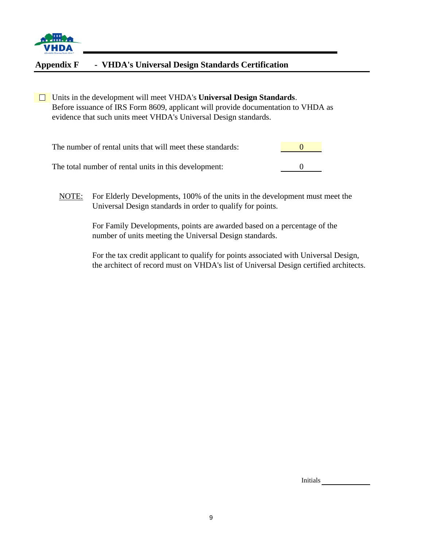

## **Appendix F - VHDA's Universal Design Standards Certification**

Units in the development will meet VHDA's **Universal Design Standards**. Before issuance of IRS Form 8609, applicant will provide documentation to VHDA as evidence that such units meet VHDA's Universal Design standards.

NOTE: For Elderly Developments, 100% of the units in the development must meet the Universal Design standards in order to qualify for points.

> For Family Developments, points are awarded based on a percentage of the number of units meeting the Universal Design standards.

For the tax credit applicant to qualify for points associated with Universal Design, the architect of record must on VHDA's list of Universal Design certified architects.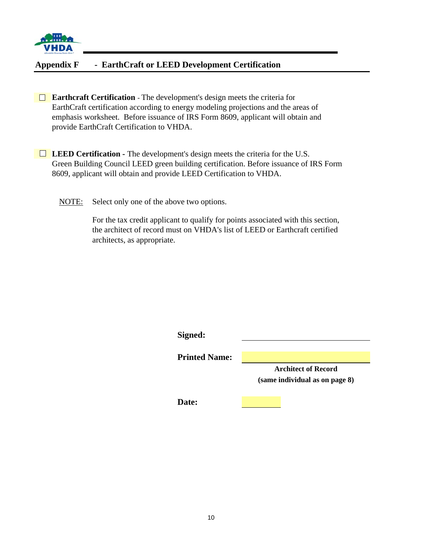

## **Appendix F - EarthCraft or LEED Development Certification**

**Earthcraft Certification** - The development's design meets the criteria for EarthCraft certification according to energy modeling projections and the areas of emphasis worksheet. Before issuance of IRS Form 8609, applicant will obtain and provide EarthCraft Certification to VHDA.

**LEED Certification -** The development's design meets the criteria for the U.S. Green Building Council LEED green building certification. Before issuance of IRS Form 8609, applicant will obtain and provide LEED Certification to VHDA.

NOTE: Select only one of the above two options.

For the tax credit applicant to qualify for points associated with this section, the architect of record must on VHDA's list of LEED or Earthcraft certified architects, as appropriate.

| Signed:              |                                |
|----------------------|--------------------------------|
|                      |                                |
| <b>Printed Name:</b> |                                |
|                      | <b>Architect of Record</b>     |
|                      | (same individual as on page 8) |
|                      |                                |
| Date:                |                                |
|                      |                                |